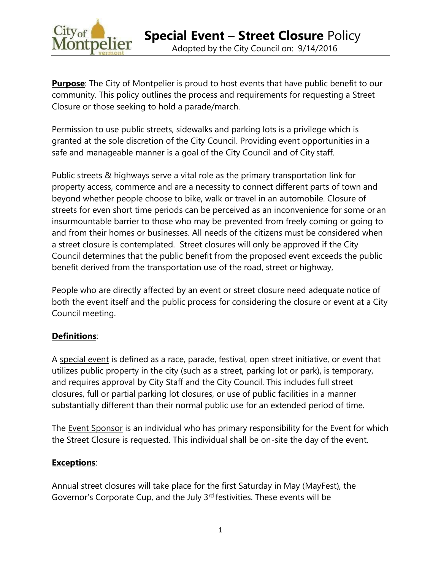

**Purpose**: The City of Montpelier is proud to host events that have public benefit to our community. This policy outlines the process and requirements for requesting a Street Closure or those seeking to hold a parade/march.

Permission to use public streets, sidewalks and parking lots is a privilege which is granted at the sole discretion of the City Council. Providing event opportunities in a safe and manageable manner is a goal of the City Council and of City staff.

Public streets & highways serve a vital role as the primary transportation link for property access, commerce and are a necessity to connect different parts of town and beyond whether people choose to bike, walk or travel in an automobile. Closure of streets for even short time periods can be perceived as an inconvenience for some or an insurmountable barrier to those who may be prevented from freely coming or going to and from their homes or businesses. All needs of the citizens must be considered when a street closure is contemplated. Street closures will only be approved if the City Council determines that the public benefit from the proposed event exceeds the public benefit derived from the transportation use of the road, street or highway,

People who are directly affected by an event or street closure need adequate notice of both the event itself and the public process for considering the closure or event at a City Council meeting.

## **Definitions**:

A special event is defined as a race, parade, festival, open street initiative, or event that utilizes public property in the city (such as a street, parking lot or park), is temporary, and requires approval by City Staff and the City Council. This includes full street closures, full or partial parking lot closures, or use of public facilities in a manner substantially different than their normal public use for an extended period of time.

The **Event Sponsor** is an individual who has primary responsibility for the Event for which the Street Closure is requested. This individual shall be on-site the day of the event.

## **Exceptions**:

Annual street closures will take place for the first Saturday in May (MayFest), the Governor's Corporate Cup, and the July 3rd festivities. These events will be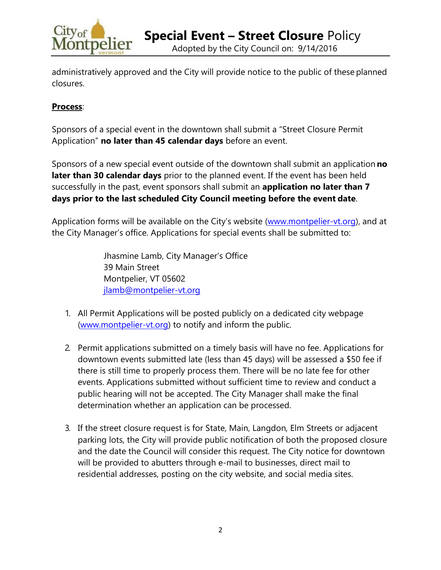

Adopted by the City Council on: 9/14/2016

administratively approved and the City will provide notice to the public of these planned closures.

## **Process**:

Sponsors of a special event in the downtown shall submit a "Street Closure Permit Application" **no later than 45 calendar days** before an event.

Sponsors of a new special event outside of the downtown shall submit an application **no later than 30 calendar days** prior to the planned event. If the event has been held successfully in the past, event sponsors shall submit an **application no later than 7 days prior to the last scheduled City Council meeting before the event date**.

Application forms will be available on the City's website ([www.montpelier-vt.org\)](http://www.montpelier-vt.org/), and at the City Manager's office. Applications for special events shall be submitted to:

> Jhasmine Lamb, City Manager's Office 39 Main Street Montpelier, VT 05602 [jlamb@montpelier-vt.org](mailto:jlamb@montpelier-vt.org)

- 1. All Permit Applications will be posted publicly on a dedicated city webpage [\(www.montpelier-vt.org\)](http://www.montpelier-vt.org/XXXXXXXX) to notify and inform the public.
- 2. Permit applications submitted on a timely basis will have no fee. Applications for downtown events submitted late (less than 45 days) will be assessed a \$50 fee if there is still time to properly process them. There will be no late fee for other events. Applications submitted without sufficient time to review and conduct a public hearing will not be accepted. The City Manager shall make the final determination whether an application can be processed.
- 3. If the street closure request is for State, Main, Langdon, Elm Streets or adjacent parking lots, the City will provide public notification of both the proposed closure and the date the Council will consider this request. The City notice for downtown will be provided to abutters through e-mail to businesses, direct mail to residential addresses, posting on the city website, and social media sites.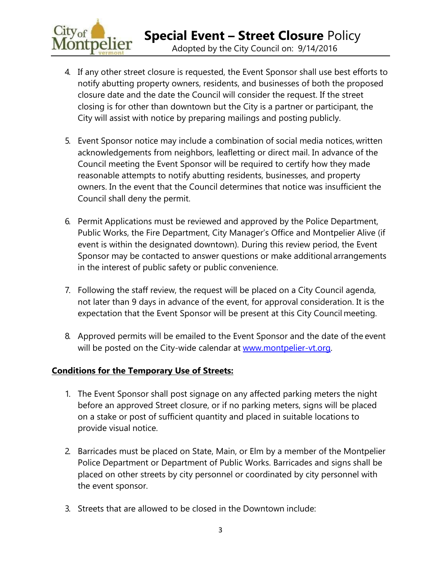

- 4. If any other street closure is requested, the Event Sponsor shall use best efforts to notify abutting property owners, residents, and businesses of both the proposed closure date and the date the Council will consider the request. If the street closing is for other than downtown but the City is a partner or participant, the City will assist with notice by preparing mailings and posting publicly.
- 5. Event Sponsor notice may include a combination of social media notices, written acknowledgements from neighbors, leafletting or direct mail. In advance of the Council meeting the Event Sponsor will be required to certify how they made reasonable attempts to notify abutting residents, businesses, and property owners. In the event that the Council determines that notice was insufficient the Council shall deny the permit.
- 6. Permit Applications must be reviewed and approved by the Police Department, Public Works, the Fire Department, City Manager's Office and Montpelier Alive (if event is within the designated downtown). During this review period, the Event Sponsor may be contacted to answer questions or make additional arrangements in the interest of public safety or public convenience.
- 7. Following the staff review, the request will be placed on a City Council agenda, not later than 9 days in advance of the event, for approval consideration. It is the expectation that the Event Sponsor will be present at this City Council meeting.
- 8. Approved permits will be emailed to the Event Sponsor and the date of the event will be posted on the City-wide calendar at [www.montpelier-vt.org.](http://www.montpelier-vt.org/)

## **Conditions for the Temporary Use of Streets:**

- 1. The Event Sponsor shall post signage on any affected parking meters the night before an approved Street closure, or if no parking meters, signs will be placed on a stake or post of sufficient quantity and placed in suitable locations to provide visual notice.
- 2. Barricades must be placed on State, Main, or Elm by a member of the Montpelier Police Department or Department of Public Works. Barricades and signs shall be placed on other streets by city personnel or coordinated by city personnel with the event sponsor.
- 3. Streets that are allowed to be closed in the Downtown include: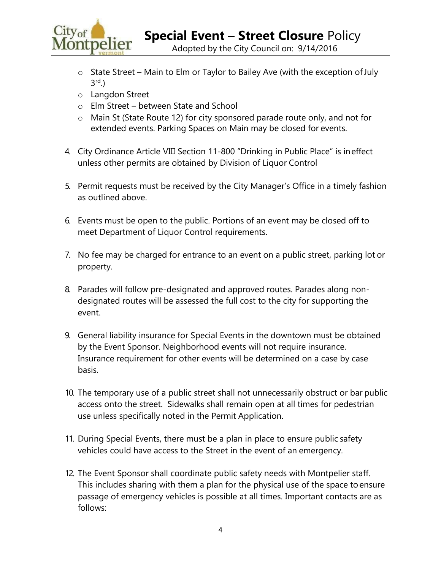

Adopted by the City Council on: 9/14/2016

- $\circ$  State Street Main to Elm or Taylor to Bailey Ave (with the exception of July 3 rd.)
- o Langdon Street
- o Elm Street between State and School
- o Main St (State Route 12) for city sponsored parade route only, and not for extended events. Parking Spaces on Main may be closed for events.
- 4. City Ordinance Article VIII Section 11-800 "Drinking in Public Place" is ineffect unless other permits are obtained by Division of Liquor Control
- 5. Permit requests must be received by the City Manager's Office in a timely fashion as outlined above.
- 6. Events must be open to the public. Portions of an event may be closed off to meet Department of Liquor Control requirements.
- 7. No fee may be charged for entrance to an event on a public street, parking lot or property.
- 8. Parades will follow pre-designated and approved routes. Parades along nondesignated routes will be assessed the full cost to the city for supporting the event.
- 9. General liability insurance for Special Events in the downtown must be obtained by the Event Sponsor. Neighborhood events will not require insurance. Insurance requirement for other events will be determined on a case by case basis.
- 10. The temporary use of a public street shall not unnecessarily obstruct or bar public access onto the street. Sidewalks shall remain open at all times for pedestrian use unless specifically noted in the Permit Application.
- 11. During Special Events, there must be a plan in place to ensure public safety vehicles could have access to the Street in the event of an emergency.
- 12. The Event Sponsor shall coordinate public safety needs with Montpelier staff. This includes sharing with them a plan for the physical use of the space toensure passage of emergency vehicles is possible at all times. Important contacts are as follows: